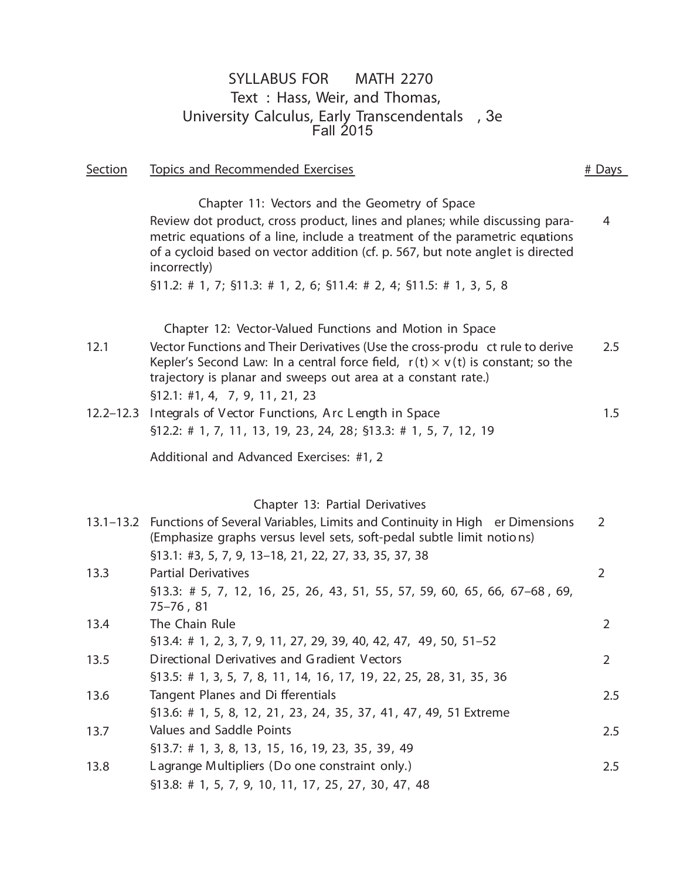## SYLLABUS FOR MATH 2270 Text : Hass, Weir, and Thomas, University Calculus, Early Transcendentals , 3e Fall 2015

Section Topics and Recommended Exercises **Accommended** Exercises **Accommended** Exercises

Chapter 11: Vectors and the Geometry of Space Review dot product, cross product, lines and planes; while discussing parametric equations of a line, include a treatment of the parametric equations of a cycloid based on vector addition (cf. p. 567, but note anglet is directed incorrectly) 4 §11.2: # 1, 7; §11.3: # 1, 2, 6; §11.4: # 2, 4; §11.5: # 1, 3, 5, 8 Chapter 12: Vector-Valued Functions and Motion in Space 12.1 Vector Functions and Their Derivatives (Use the cross-produ ct rule to derive Kepler's Second Law: In a central force field,  $r(t) \times v(t)$  is constant; so the trajectory is planar and sweeps out area at a constant rate.) 2.5 §12.1: #1, 4, 7, 9, 11, 21, 23 12.2–12.3 Integrals of Vector Functions, Arc Length in Space 1.5 §12.2: # 1, 7, 11, 13, 19, 23, 24, 28; §13.3: # 1, 5, 7, 12, 19 Additional and Advanced Exercises: #1, 2 Chapter 13: Partial Derivatives 13.1–13.2 Functions of Several Variables, Limits and Continuity in High er Dimensions (Emphasize graphs versus level sets, soft-pedal subtle limit notio ns) 2 §13.1: #3, 5, 7, 9, 13–18, 21, 22, 27, 33, 35, 37, 38 13.3 Partial Derivatives 2 §13.3: # 5, 7, 12, 16, 25, 26, 43, 51, 55, 57, 59, 60, 65, 66, 67–68 , 69, 75–76 , 81 13.4 The Chain Rule 2 13.5 Directional Derivatives and Gradient Vectors **13.5** Contract 2 13.6 Tangent Planes and Di fferentials **Example 21.5** 2.5 13.7 2.5 Values and Saddle Points 13.8 Lagrange Multipliers (Do one constraint only.) 13.8 Lagrange Multipliers (Do one constraint only.) §13.4: # 1, 2, 3, 7, 9, 11, 27, 29, 39, 40, 42, 47, 49, 50, 51–52 §13.5: # 1, 3, 5, 7, 8, 11, 14, 16, 17, 19, 22, 25, 28, 31, 35, 36 §13.6: # 1, 5, 8, 12, 21, 23, 24, 35, 37, 41, 47, 49, 51 Extreme §13.7: # 1, 3, 8, 13, 15, 16, 19, 23, 35, 39, 49 §13.8: # 1, 5, 7, 9, 10, 11, 17, 25, 27, 30, 47, 48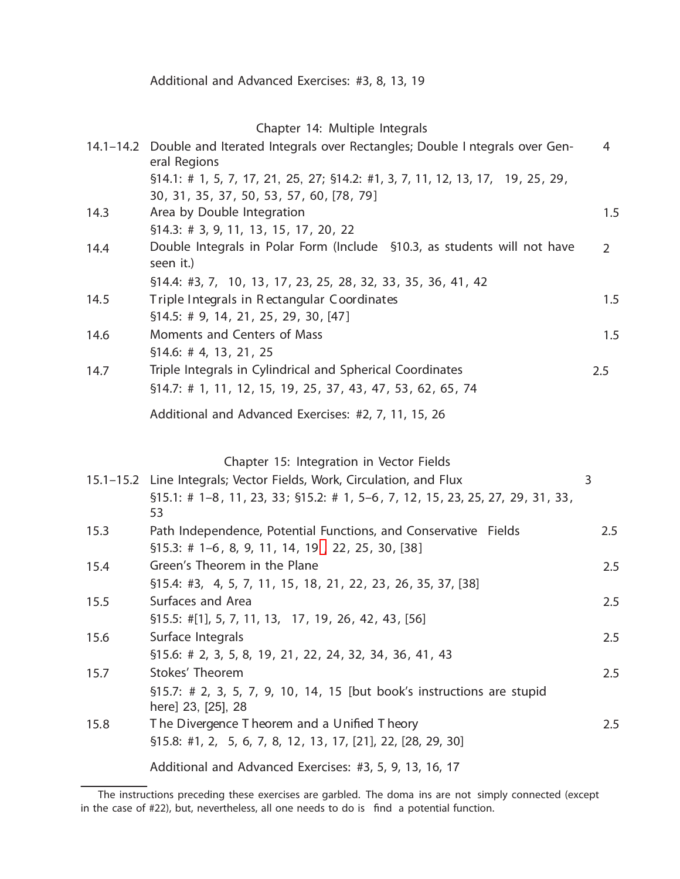## Chapter 14: Multiple Integrals

|      | 14.1-14.2 Double and Iterated Integrals over Rectangles; Double I ntegrals over Gen-<br>eral Regions<br>§14.1: # 1, 5, 7, 17, 21, 25, 27; §14.2: #1, 3, 7, 11, 12, 13, 17, 19, 25, 29, | 4              |
|------|----------------------------------------------------------------------------------------------------------------------------------------------------------------------------------------|----------------|
|      | 30, 31, 35, 37, 50, 53, 57, 60, [78, 79]                                                                                                                                               |                |
| 14.3 | Area by Double Integration                                                                                                                                                             | 1.5            |
|      | \$14.3: # 3, 9, 11, 13, 15, 17, 20, 22                                                                                                                                                 |                |
| 14.4 | Double Integrals in Polar Form (Include §10.3, as students will not have<br>seen it.)                                                                                                  | $\overline{2}$ |
|      | \$14.4: #3, 7, 10, 13, 17, 23, 25, 28, 32, 33, 35, 36, 41, 42                                                                                                                          |                |
| 14.5 | Triple Integrals in Rectangular Coordinates                                                                                                                                            | 1.5            |
|      | \$14.5: # 9, 14, 21, 25, 29, 30, [47]                                                                                                                                                  |                |
| 14.6 | Moments and Centers of Mass                                                                                                                                                            | 1.5            |
|      | \$14.6: # 4, 13, 21, 25                                                                                                                                                                |                |
| 14.7 | Triple Integrals in Cylindrical and Spherical Coordinates                                                                                                                              | 2.5            |
|      | \$14.7: # 1, 11, 12, 15, 19, 25, 37, 43, 47, 53, 62, 65, 74                                                                                                                            |                |
|      | Additional and Advanced Exercises: #2, 7, 11, 15, 26                                                                                                                                   |                |
|      |                                                                                                                                                                                        |                |
|      | Chapter 15: Integration in Vector Fields                                                                                                                                               |                |
|      | 15.1–15.2 Line Integrals; Vector Fields, Work, Circulation, and Flux                                                                                                                   | 3              |
|      | $$15.1: # 1-8, 11, 23, 33; $15.2: # 1, 5-6, 7, 12, 15, 23, 25, 27, 29, 31, 33,$<br>53                                                                                                  |                |
| 15.3 | Path Independence, Potential Functions, and Conservative Fields                                                                                                                        | 2.5            |
|      | $$15.3$ : # 1-6, 8, 9, 11, 14, 19, 22, 25, 30, [38]                                                                                                                                    |                |
| 15.4 | Green's Theorem in the Plane                                                                                                                                                           | 2.5            |
|      | \$15.4: #3, 4, 5, 7, 11, 15, 18, 21, 22, 23, 26, 35, 37, [38]                                                                                                                          |                |
| 15.5 | Surfaces and Area                                                                                                                                                                      | 2.5            |
|      | $$15.5: #[1], 5, 7, 11, 13, 17, 19, 26, 42, 43, [56]$                                                                                                                                  |                |
| 15.6 | Surface Integrals                                                                                                                                                                      | 2.5            |
|      | \$15.6: # 2, 3, 5, 8, 19, 21, 22, 24, 32, 34, 36, 41, 43<br>Stokes' Theorem                                                                                                            |                |
| 15.7 |                                                                                                                                                                                        | 2.5            |
|      | §15.7: # 2, 3, 5, 7, 9, 10, 14, 15 [but book's instructions are stupid<br>here] 23, [25], 28                                                                                           |                |
| 15.8 | The Divergence Theorem and a Unified Theory                                                                                                                                            | 2.5            |
|      | §15.8: #1, 2, 5, 6, 7, 8, 12, 13, 17, [21], 22, [28, 29, 30]                                                                                                                           |                |
|      | Additional and Advanced Exercises: #3, 5, 9, 13, 16, 17                                                                                                                                |                |

<span id="page-1-0"></span>The instructions preceding these exercises are garbled. The doma ins are not simply connected (except in the case of  $\#22$ ), but, nevertheless, all one needs to do is find a potential function.